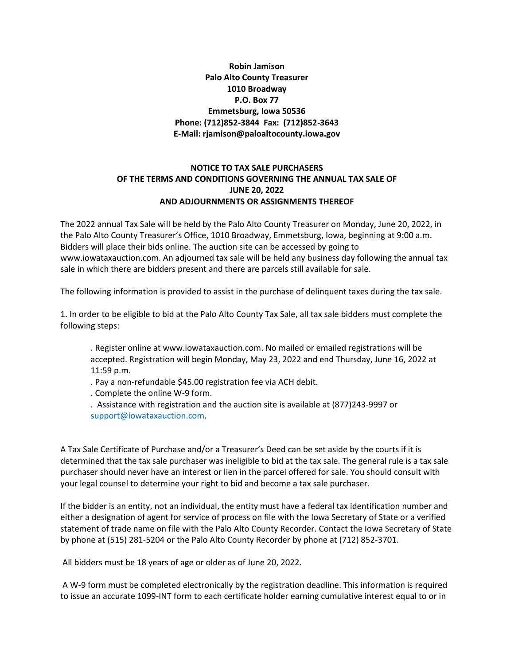# **Robin Jamison Palo Alto County Treasurer 1010 Broadway P.O. Box 77 Emmetsburg, Iowa 50536 Phone: (712)852-3844 Fax: (712)852-3643 E-Mail: rjamison@paloaltocounty.iowa.gov**

# **NOTICE TO TAX SALE PURCHASERS OF THE TERMS AND CONDITIONS GOVERNING THE ANNUAL TAX SALE OF JUNE 20, 2022 AND ADJOURNMENTS OR ASSIGNMENTS THEREOF**

The 2022 annual Tax Sale will be held by the Palo Alto County Treasurer on Monday, June 20, 2022, in the Palo Alto County Treasurer's Office, 1010 Broadway, Emmetsburg, Iowa, beginning at 9:00 a.m. Bidders will place their bids online. The auction site can be accessed by going to www.iowataxauction.com. An adjourned tax sale will be held any business day following the annual tax sale in which there are bidders present and there are parcels still available for sale.

The following information is provided to assist in the purchase of delinquent taxes during the tax sale.

1. In order to be eligible to bid at the Palo Alto County Tax Sale, all tax sale bidders must complete the following steps:

. Register online at www.iowataxauction.com. No mailed or emailed registrations will be accepted. Registration will begin Monday, May 23, 2022 and end Thursday, June 16, 2022 at 11:59 p.m.

. Pay a non-refundable \$45.00 registration fee via ACH debit.

. Complete the online W-9 form.

. Assistance with registration and the auction site is available at (877)243-9997 or [support@iowataxauction.com.](mailto:support@iowataxauction.com)

A Tax Sale Certificate of Purchase and/or a Treasurer's Deed can be set aside by the courts if it is determined that the tax sale purchaser was ineligible to bid at the tax sale. The general rule is a tax sale purchaser should never have an interest or lien in the parcel offered for sale. You should consult with your legal counsel to determine your right to bid and become a tax sale purchaser.

If the bidder is an entity, not an individual, the entity must have a federal tax identification number and either a designation of agent for service of process on file with the Iowa Secretary of State or a verified statement of trade name on file with the Palo Alto County Recorder. Contact the Iowa Secretary of State by phone at (515) 281-5204 or the Palo Alto County Recorder by phone at (712) 852-3701.

All bidders must be 18 years of age or older as of June 20, 2022.

A W-9 form must be completed electronically by the registration deadline. This information is required to issue an accurate 1099-INT form to each certificate holder earning cumulative interest equal to or in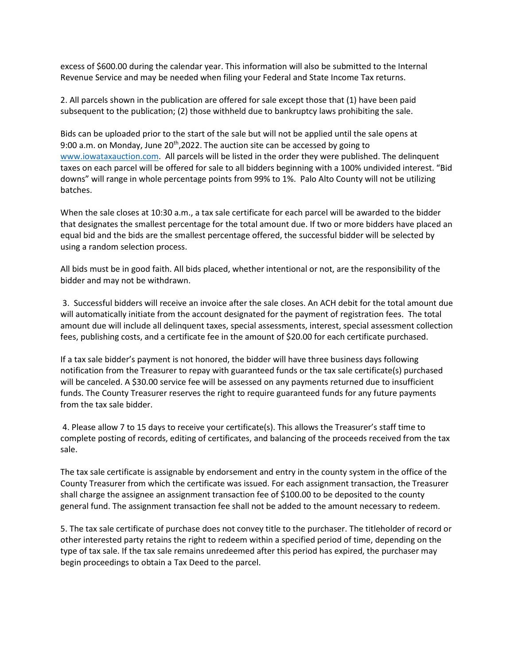excess of \$600.00 during the calendar year. This information will also be submitted to the Internal Revenue Service and may be needed when filing your Federal and State Income Tax returns.

2. All parcels shown in the publication are offered for sale except those that (1) have been paid subsequent to the publication; (2) those withheld due to bankruptcy laws prohibiting the sale.

Bids can be uploaded prior to the start of the sale but will not be applied until the sale opens at 9:00 a.m. on Monday, June 20<sup>th</sup>,2022. The auction site can be accessed by going to [www.iowataxauction.com.](http://www.iowataxauction.com/) All parcels will be listed in the order they were published. The delinquent taxes on each parcel will be offered for sale to all bidders beginning with a 100% undivided interest. "Bid downs" will range in whole percentage points from 99% to 1%. Palo Alto County will not be utilizing batches.

When the sale closes at 10:30 a.m., a tax sale certificate for each parcel will be awarded to the bidder that designates the smallest percentage for the total amount due. If two or more bidders have placed an equal bid and the bids are the smallest percentage offered, the successful bidder will be selected by using a random selection process.

All bids must be in good faith. All bids placed, whether intentional or not, are the responsibility of the bidder and may not be withdrawn.

3. Successful bidders will receive an invoice after the sale closes. An ACH debit for the total amount due will automatically initiate from the account designated for the payment of registration fees. The total amount due will include all delinquent taxes, special assessments, interest, special assessment collection fees, publishing costs, and a certificate fee in the amount of \$20.00 for each certificate purchased.

If a tax sale bidder's payment is not honored, the bidder will have three business days following notification from the Treasurer to repay with guaranteed funds or the tax sale certificate(s) purchased will be canceled. A \$30.00 service fee will be assessed on any payments returned due to insufficient funds. The County Treasurer reserves the right to require guaranteed funds for any future payments from the tax sale bidder.

4. Please allow 7 to 15 days to receive your certificate(s). This allows the Treasurer's staff time to complete posting of records, editing of certificates, and balancing of the proceeds received from the tax sale.

The tax sale certificate is assignable by endorsement and entry in the county system in the office of the County Treasurer from which the certificate was issued. For each assignment transaction, the Treasurer shall charge the assignee an assignment transaction fee of \$100.00 to be deposited to the county general fund. The assignment transaction fee shall not be added to the amount necessary to redeem.

5. The tax sale certificate of purchase does not convey title to the purchaser. The titleholder of record or other interested party retains the right to redeem within a specified period of time, depending on the type of tax sale. If the tax sale remains unredeemed after this period has expired, the purchaser may begin proceedings to obtain a Tax Deed to the parcel.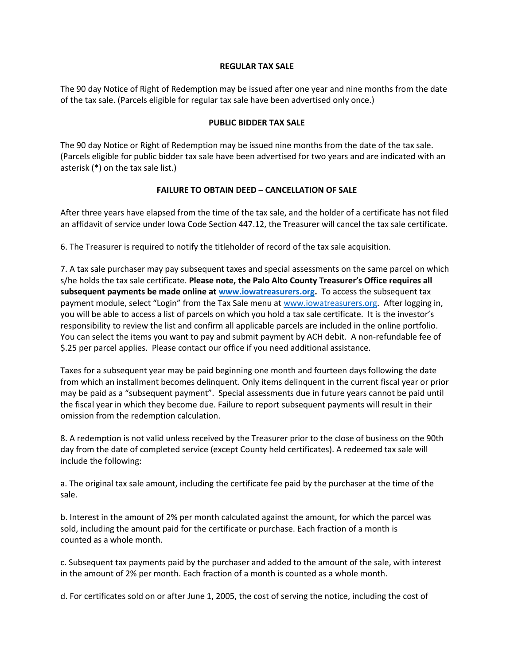#### **REGULAR TAX SALE**

The 90 day Notice of Right of Redemption may be issued after one year and nine months from the date of the tax sale. (Parcels eligible for regular tax sale have been advertised only once.)

### **PUBLIC BIDDER TAX SALE**

The 90 day Notice or Right of Redemption may be issued nine months from the date of the tax sale. (Parcels eligible for public bidder tax sale have been advertised for two years and are indicated with an asterisk (\*) on the tax sale list.)

### **FAILURE TO OBTAIN DEED – CANCELLATION OF SALE**

After three years have elapsed from the time of the tax sale, and the holder of a certificate has not filed an affidavit of service under Iowa Code Section 447.12, the Treasurer will cancel the tax sale certificate.

6. The Treasurer is required to notify the titleholder of record of the tax sale acquisition.

7. A tax sale purchaser may pay subsequent taxes and special assessments on the same parcel on which s/he holds the tax sale certificate. **Please note, the Palo Alto County Treasurer's Office requires all subsequent payments be made online at [www.iowatreasurers.org.](http://www.iowatreasurers.org/)** To access the subsequent tax payment module, select "Login" from the Tax Sale menu at [www.iowatreasurers.org.](http://www.iowatreasurers.org/) After logging in, you will be able to access a list of parcels on which you hold a tax sale certificate. It is the investor's responsibility to review the list and confirm all applicable parcels are included in the online portfolio. You can select the items you want to pay and submit payment by ACH debit. A non-refundable fee of \$.25 per parcel applies. Please contact our office if you need additional assistance.

Taxes for a subsequent year may be paid beginning one month and fourteen days following the date from which an installment becomes delinquent. Only items delinquent in the current fiscal year or prior may be paid as a "subsequent payment". Special assessments due in future years cannot be paid until the fiscal year in which they become due. Failure to report subsequent payments will result in their omission from the redemption calculation.

8. A redemption is not valid unless received by the Treasurer prior to the close of business on the 90th day from the date of completed service (except County held certificates). A redeemed tax sale will include the following:

a. The original tax sale amount, including the certificate fee paid by the purchaser at the time of the sale.

b. Interest in the amount of 2% per month calculated against the amount, for which the parcel was sold, including the amount paid for the certificate or purchase. Each fraction of a month is counted as a whole month.

c. Subsequent tax payments paid by the purchaser and added to the amount of the sale, with interest in the amount of 2% per month. Each fraction of a month is counted as a whole month.

d. For certificates sold on or after June 1, 2005, the cost of serving the notice, including the cost of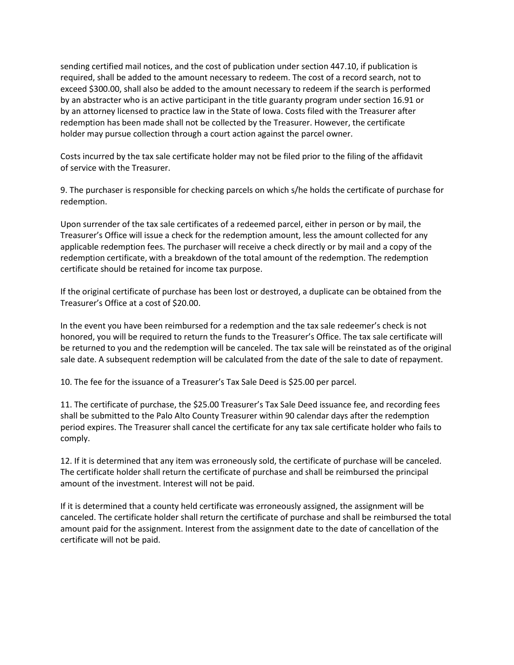sending certified mail notices, and the cost of publication under section 447.10, if publication is required, shall be added to the amount necessary to redeem. The cost of a record search, not to exceed \$300.00, shall also be added to the amount necessary to redeem if the search is performed by an abstracter who is an active participant in the title guaranty program under section 16.91 or by an attorney licensed to practice law in the State of Iowa. Costs filed with the Treasurer after redemption has been made shall not be collected by the Treasurer. However, the certificate holder may pursue collection through a court action against the parcel owner.

Costs incurred by the tax sale certificate holder may not be filed prior to the filing of the affidavit of service with the Treasurer.

9. The purchaser is responsible for checking parcels on which s/he holds the certificate of purchase for redemption.

Upon surrender of the tax sale certificates of a redeemed parcel, either in person or by mail, the Treasurer's Office will issue a check for the redemption amount, less the amount collected for any applicable redemption fees. The purchaser will receive a check directly or by mail and a copy of the redemption certificate, with a breakdown of the total amount of the redemption. The redemption certificate should be retained for income tax purpose.

If the original certificate of purchase has been lost or destroyed, a duplicate can be obtained from the Treasurer's Office at a cost of \$20.00.

In the event you have been reimbursed for a redemption and the tax sale redeemer's check is not honored, you will be required to return the funds to the Treasurer's Office. The tax sale certificate will be returned to you and the redemption will be canceled. The tax sale will be reinstated as of the original sale date. A subsequent redemption will be calculated from the date of the sale to date of repayment.

10. The fee for the issuance of a Treasurer's Tax Sale Deed is \$25.00 per parcel.

11. The certificate of purchase, the \$25.00 Treasurer's Tax Sale Deed issuance fee, and recording fees shall be submitted to the Palo Alto County Treasurer within 90 calendar days after the redemption period expires. The Treasurer shall cancel the certificate for any tax sale certificate holder who fails to comply.

12. If it is determined that any item was erroneously sold, the certificate of purchase will be canceled. The certificate holder shall return the certificate of purchase and shall be reimbursed the principal amount of the investment. Interest will not be paid.

If it is determined that a county held certificate was erroneously assigned, the assignment will be canceled. The certificate holder shall return the certificate of purchase and shall be reimbursed the total amount paid for the assignment. Interest from the assignment date to the date of cancellation of the certificate will not be paid.